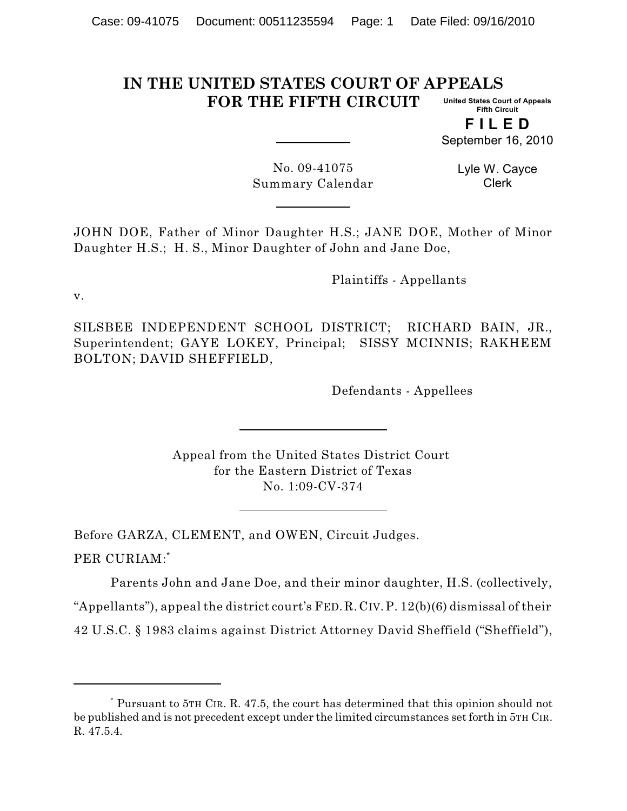#### **IN THE UNITED STATES COURT OF APPEALS FOR THE FIFTH CIRCUIT United States Court of Appeals Fifth Circuit**

**F I L E D**

September 16, 2010

No. 09-41075 Summary Calendar Lyle W. Cayce Clerk

JOHN DOE, Father of Minor Daughter H.S.; JANE DOE, Mother of Minor Daughter H.S.; H. S., Minor Daughter of John and Jane Doe,

Plaintiffs - Appellants

v.

SILSBEE INDEPENDENT SCHOOL DISTRICT; RICHARD BAIN, JR., Superintendent; GAYE LOKEY, Principal; SISSY MCINNIS; RAKHEEM BOLTON; DAVID SHEFFIELD,

Defendants - Appellees

Appeal from the United States District Court for the Eastern District of Texas No. 1:09-CV-374

Before GARZA, CLEMENT, and OWEN, Circuit Judges. PER CURIAM: \*

Parents John and Jane Doe, and their minor daughter, H.S. (collectively, "Appellants"), appeal the district court's FED.R.CIV.P. 12(b)(6) dismissal of their 42 U.S.C. § 1983 claims against District Attorney David Sheffield ("Sheffield"),

Pursuant to 5TH CIR. R. 47.5, the court has determined that this opinion should not \* be published and is not precedent except under the limited circumstances set forth in 5TH CIR. R. 47.5.4.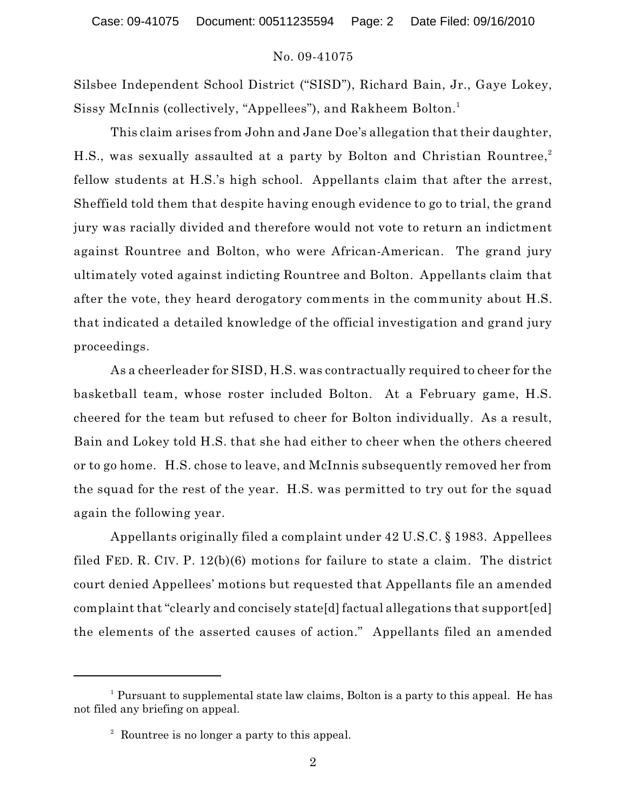### No. 09-41075

Silsbee Independent School District ("SISD"), Richard Bain, Jr., Gaye Lokey, Sissy McInnis (collectively, "Appellees"), and Rakheem Bolton. 1

This claim arises from John and Jane Doe's allegation that their daughter, H.S., was sexually assaulted at a party by Bolton and Christian Rountree, 2 fellow students at H.S.'s high school. Appellants claim that after the arrest, Sheffield told them that despite having enough evidence to go to trial, the grand jury was racially divided and therefore would not vote to return an indictment against Rountree and Bolton, who were African-American. The grand jury ultimately voted against indicting Rountree and Bolton. Appellants claim that after the vote, they heard derogatory comments in the community about H.S. that indicated a detailed knowledge of the official investigation and grand jury proceedings.

As a cheerleader for SISD, H.S. was contractually required to cheer for the basketball team, whose roster included Bolton. At a February game, H.S. cheered for the team but refused to cheer for Bolton individually. As a result, Bain and Lokey told H.S. that she had either to cheer when the others cheered or to go home. H.S. chose to leave, and McInnis subsequently removed her from the squad for the rest of the year. H.S. was permitted to try out for the squad again the following year.

Appellants originally filed a complaint under 42 U.S.C. § 1983. Appellees filed FED. R. CIV. P. 12(b)(6) motions for failure to state a claim. The district court denied Appellees' motions but requested that Appellants file an amended complaint that "clearly and concisely state[d] factual allegations that support[ed] the elements of the asserted causes of action." Appellants filed an amended

 $1$  Pursuant to supplemental state law claims, Bolton is a party to this appeal. He has not filed any briefing on appeal.

<sup>&</sup>lt;sup>2</sup> Rountree is no longer a party to this appeal.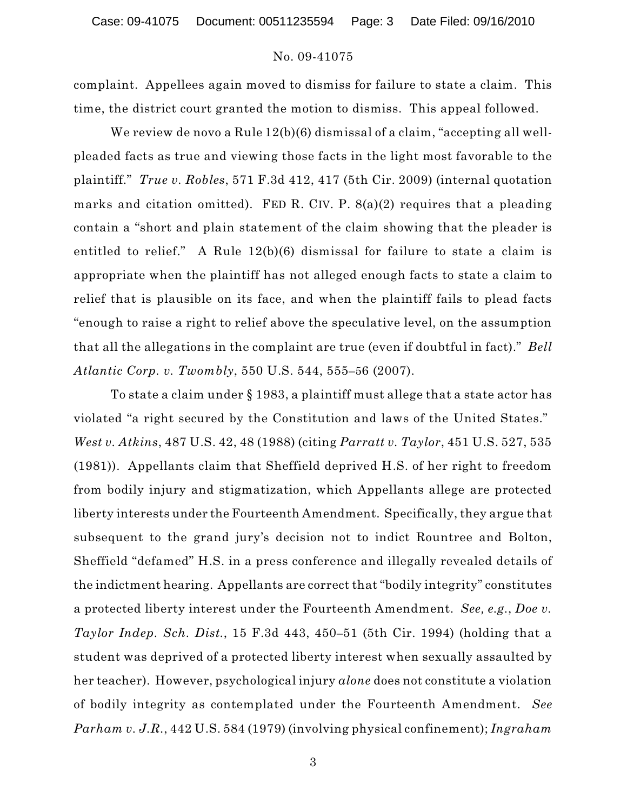# No. 09-41075

complaint. Appellees again moved to dismiss for failure to state a claim. This time, the district court granted the motion to dismiss. This appeal followed.

We review de novo a Rule 12(b)(6) dismissal of a claim, "accepting all wellpleaded facts as true and viewing those facts in the light most favorable to the plaintiff." *True v. Robles*, 571 F.3d 412, 417 (5th Cir. 2009) (internal quotation marks and citation omitted). FED R. CIV. P.  $8(a)(2)$  requires that a pleading contain a "short and plain statement of the claim showing that the pleader is entitled to relief." A Rule 12(b)(6) dismissal for failure to state a claim is appropriate when the plaintiff has not alleged enough facts to state a claim to relief that is plausible on its face, and when the plaintiff fails to plead facts "enough to raise a right to relief above the speculative level, on the assumption that all the allegations in the complaint are true (even if doubtful in fact)." *Bell Atlantic Corp. v. Twombly*, 550 U.S. 544, 555–56 (2007).

To state a claim under § 1983, a plaintiff must allege that a state actor has violated "a right secured by the Constitution and laws of the United States." *West v. Atkins*, 487 U.S. 42, 48 (1988) (citing *Parratt v. Taylor*, 451 U.S. 527, 535 (1981)). Appellants claim that Sheffield deprived H.S. of her right to freedom from bodily injury and stigmatization, which Appellants allege are protected liberty interests under the Fourteenth Amendment. Specifically, they argue that subsequent to the grand jury's decision not to indict Rountree and Bolton, Sheffield "defamed" H.S. in a press conference and illegally revealed details of the indictment hearing. Appellants are correct that "bodily integrity" constitutes a protected liberty interest under the Fourteenth Amendment. *See, e.g.*, *Doe v. Taylor Indep. Sch. Dist.*, 15 F.3d 443, 450–51 (5th Cir. 1994) (holding that a student was deprived of a protected liberty interest when sexually assaulted by her teacher). However, psychological injury *alone* does not constitute a violation of bodily integrity as contemplated under the Fourteenth Amendment. *See Parham v. J.R.*, 442 U.S. 584 (1979) (involving physical confinement); *Ingraham*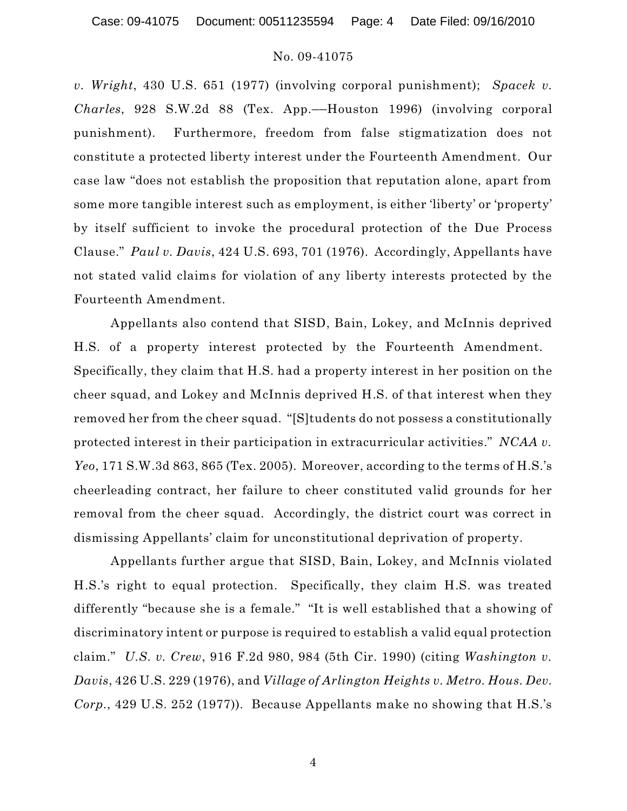Case: 09-41075 Document: 00511235594 Page: 4 Date Filed: 09/16/2010

## No. 09-41075

*v. Wright*, 430 U.S. 651 (1977) (involving corporal punishment); *Spacek v. Charles*, 928 S.W.2d 88 (Tex. App.—Houston 1996) (involving corporal punishment). Furthermore, freedom from false stigmatization does not constitute a protected liberty interest under the Fourteenth Amendment. Our case law "does not establish the proposition that reputation alone, apart from some more tangible interest such as employment, is either 'liberty' or 'property' by itself sufficient to invoke the procedural protection of the Due Process Clause." *Paul v. Davis*, 424 U.S. 693, 701 (1976). Accordingly, Appellants have not stated valid claims for violation of any liberty interests protected by the Fourteenth Amendment.

Appellants also contend that SISD, Bain, Lokey, and McInnis deprived H.S. of a property interest protected by the Fourteenth Amendment. Specifically, they claim that H.S. had a property interest in her position on the cheer squad, and Lokey and McInnis deprived H.S. of that interest when they removed her from the cheer squad. "[S]tudents do not possess a constitutionally protected interest in their participation in extracurricular activities." *NCAA v. Yeo*, 171 S.W.3d 863, 865 (Tex. 2005). Moreover, according to the terms of H.S.'s cheerleading contract, her failure to cheer constituted valid grounds for her removal from the cheer squad. Accordingly, the district court was correct in dismissing Appellants' claim for unconstitutional deprivation of property.

Appellants further argue that SISD, Bain, Lokey, and McInnis violated H.S.'s right to equal protection. Specifically, they claim H.S. was treated differently "because she is a female." "It is well established that a showing of discriminatory intent or purpose is required to establish a valid equal protection claim." *U.S. v. Crew*, 916 F.2d 980, 984 (5th Cir. 1990) (citing *Washington v. Davis*, 426 U.S. 229 (1976), and *Village of Arlington Heights v. Metro. Hous. Dev. Corp.*, 429 U.S. 252 (1977)). Because Appellants make no showing that H.S.'s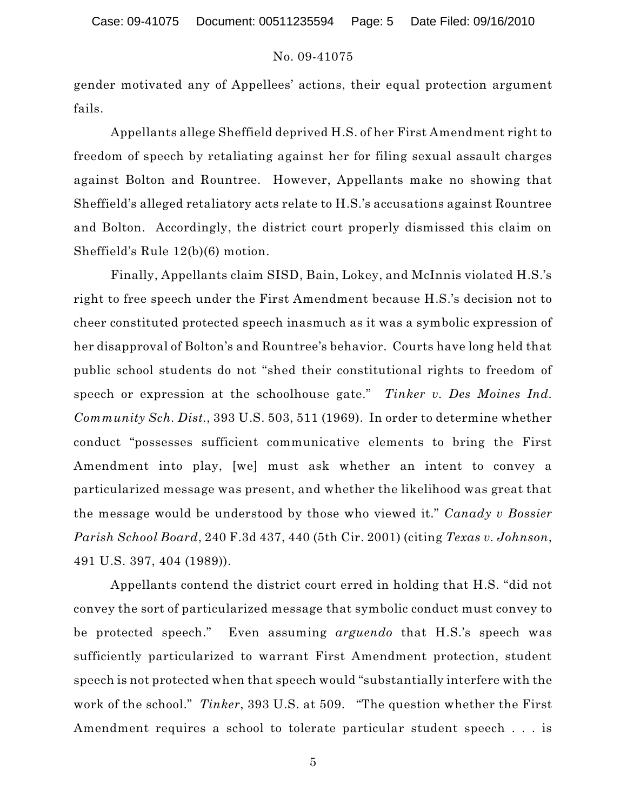# No. 09-41075

gender motivated any of Appellees' actions, their equal protection argument fails.

Appellants allege Sheffield deprived H.S. of her First Amendment right to freedom of speech by retaliating against her for filing sexual assault charges against Bolton and Rountree. However, Appellants make no showing that Sheffield's alleged retaliatory acts relate to H.S.'s accusations against Rountree and Bolton. Accordingly, the district court properly dismissed this claim on Sheffield's Rule 12(b)(6) motion.

Finally, Appellants claim SISD, Bain, Lokey, and McInnis violated H.S.'s right to free speech under the First Amendment because H.S.'s decision not to cheer constituted protected speech inasmuch as it was a symbolic expression of her disapproval of Bolton's and Rountree's behavior. Courts have long held that public school students do not "shed their constitutional rights to freedom of speech or expression at the schoolhouse gate." *Tinker v. Des Moines Ind. Community Sch. Dist.*, 393 U.S. 503, 511 (1969). In order to determine whether conduct "possesses sufficient communicative elements to bring the First Amendment into play, [we] must ask whether an intent to convey a particularized message was present, and whether the likelihood was great that the message would be understood by those who viewed it." *Canady v Bossier Parish School Board*, 240 F.3d 437, 440 (5th Cir. 2001) (citing *Texas v. Johnson*, 491 U.S. 397, 404 (1989)).

Appellants contend the district court erred in holding that H.S. "did not convey the sort of particularized message that symbolic conduct must convey to be protected speech." Even assuming *arguendo* that H.S.'s speech was sufficiently particularized to warrant First Amendment protection, student speech is not protected when that speech would "substantially interfere with the work of the school." *Tinker*, 393 U.S. at 509. "The question whether the First Amendment requires a school to tolerate particular student speech . . . is

5